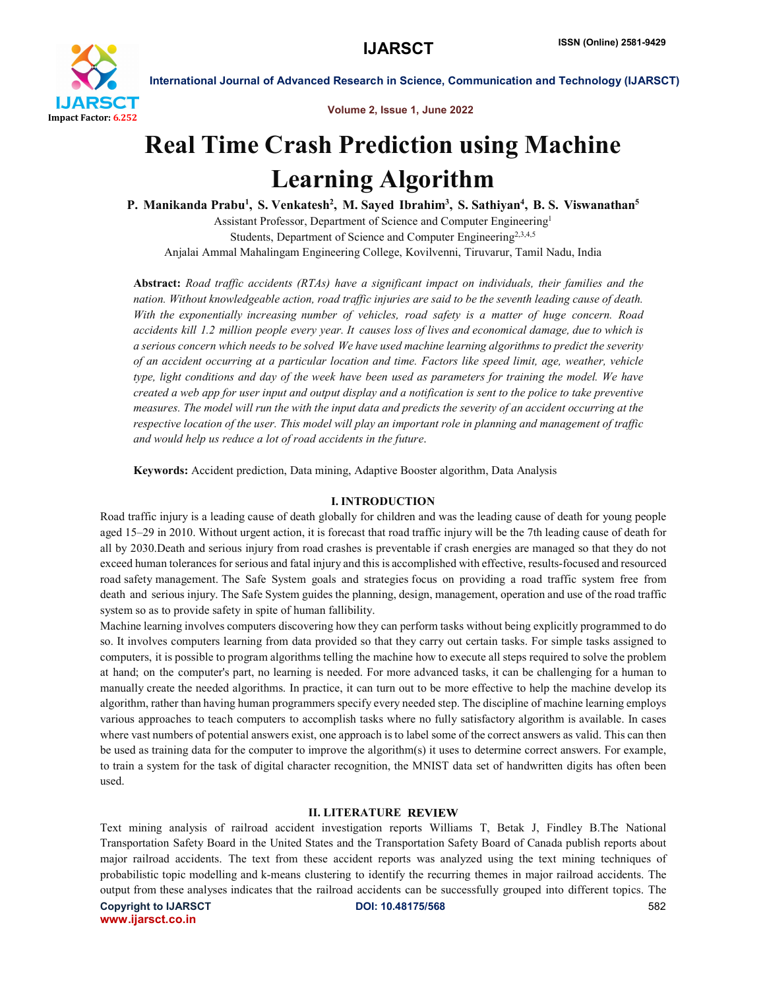

Volume 2, Issue 1, June 2022

International Journal of Advanced Research in Science, Communication and Technology (IJARSCT)

# Real Time Crash Prediction using Machine Learning Algorithm

P. Manikanda Prabu<sup>1</sup>, S. Venkatesh<sup>2</sup>, M. Sayed Ibrahim<sup>3</sup>, S. Sathiyan<sup>4</sup>, B. S. Viswanathan<sup>5</sup>

Assistant Professor, Department of Science and Computer Engineering1 Students, Department of Science and Computer Engineering<sup>2,3,4,5</sup> Anjalai Ammal Mahalingam Engineering College, Kovilvenni, Tiruvarur, Tamil Nadu, India

Abstract: *Road traffic accidents (RTAs) have a significant impact on individuals, their families and the nation. Without knowledgeable action, road traffic injuries are said to be the seventh leading cause of death. With the exponentially increasing number of vehicles, road safety is a matter of huge concern. Road accidents kill 1.2 million people every year. It causes loss of lives and economical damage, due to which is a serious concern which needs to be solved We have used machine learning algorithms to predict the severity of an accident occurring at a particular location and time. Factors like speed limit, age, weather, vehicle type, light conditions and day of the week have been used as parameters for training the model. We have created a web app for user input and output display and a notification is sent to the police to take preventive measures. The model will run the with the input data and predicts the severity of an accident occurring at the respective location of the user. This model will play an important role in planning and management of traffic and would help us reduce a lot of road accidents in the future*.

Keywords: Accident prediction, Data mining, Adaptive Booster algorithm, Data Analysis

# I. INTRODUCTION

Road traffic injury is a leading cause of death globally for children and was the leading cause of death for young people aged 15–29 in 2010. Without urgent action, it is forecast that road traffic injury will be the 7th leading cause of death for all by 2030.Death and serious injury from road crashes is preventable if crash energies are managed so that they do not exceed human tolerances for serious and fatal injury and this is accomplished with effective, results-focused and resourced road safety management. The Safe System goals and strategies focus on providing a road traffic system free from death and serious injury. The Safe System guides the planning, design, management, operation and use of the road traffic system so as to provide safety in spite of human fallibility.

Machine learning involves computers discovering how they can perform tasks without being explicitly programmed to do so. It involves computers learning from data provided so that they carry out certain tasks. For simple tasks assigned to computers, it is possible to program algorithms telling the machine how to execute all steps required to solve the problem at hand; on the computer's part, no learning is needed. For more advanced tasks, it can be challenging for a human to manually create the needed algorithms. In practice, it can turn out to be more effective to help the machine develop its algorithm, rather than having human programmers specify every needed step. The discipline of machine learning employs various approaches to teach computers to accomplish tasks where no fully satisfactory algorithm is available. In cases where vast numbers of potential answers exist, one approach isto label some of the correct answers as valid. This can then be used as training data for the computer to improve the algorithm(s) it uses to determine correct answers. For example, to train a system for the task of digital character recognition, the MNIST data set of handwritten digits has often been used.

# **II. LITERATURE REVIEW**

Text mining analysis of railroad accident investigation reports Williams T, Betak J, Findley B.The National Transportation Safety Board in the United States and the Transportation Safety Board of Canada publish reports about major railroad accidents. The text from these accident reports was analyzed using the text mining techniques of probabilistic topic modelling and k-means clustering to identify the recurring themes in major railroad accidents. The output from these analyses indicates that the railroad accidents can be successfully grouped into different topics. The

Copyright to IJARSCT **DOI: 10.48175/568** 582 www.ijarsct.co.in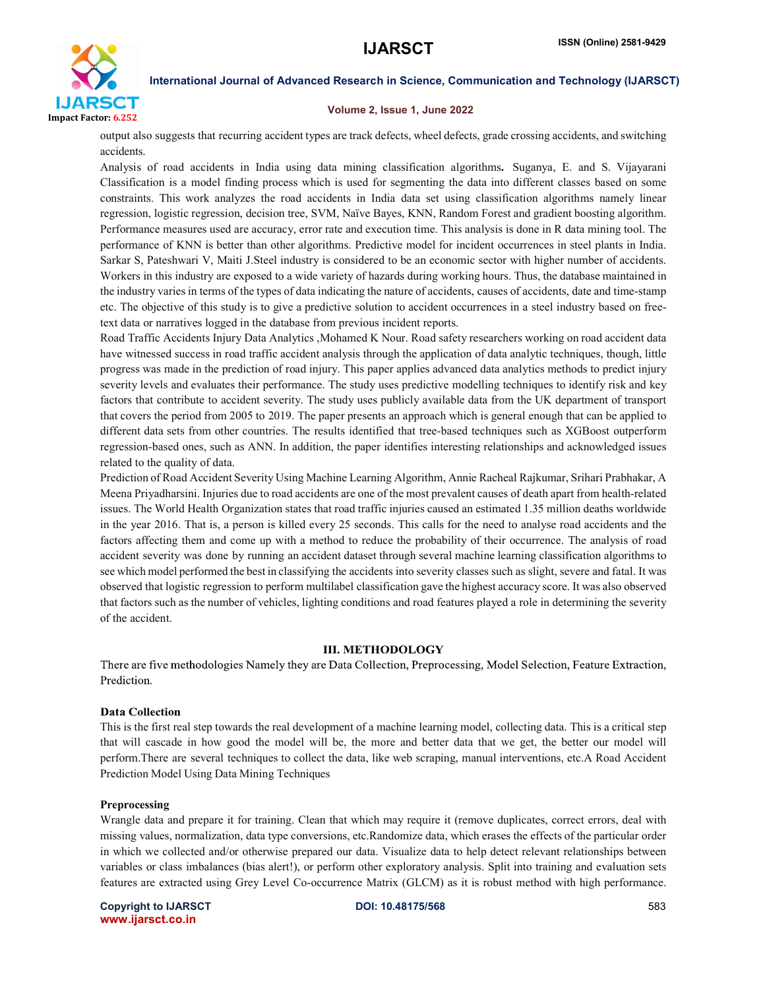

#### Volume 2, Issue 1, June 2022

output also suggests that recurring accident types are track defects, wheel defects, grade crossing accidents, and switching accidents.

Analysis of road accidents in India using data mining classification algorithms. Suganya, E. and S. Vijayarani Classification is a model finding process which is used for segmenting the data into different classes based on some constraints. This work analyzes the road accidents in India data set using classification algorithms namely linear regression, logistic regression, decision tree, SVM, Naïve Bayes, KNN, Random Forest and gradient boosting algorithm. Performance measures used are accuracy, error rate and execution time. This analysis is done in R data mining tool. The performance of KNN is better than other algorithms. Predictive model for incident occurrences in steel plants in India. Sarkar S, Pateshwari V, Maiti J.Steel industry is considered to be an economic sector with higher number of accidents. Workers in this industry are exposed to a wide variety of hazards during working hours. Thus, the database maintained in the industry varies in terms of the types of data indicating the nature of accidents, causes of accidents, date and time-stamp etc. The objective of this study is to give a predictive solution to accident occurrences in a steel industry based on freetext data or narratives logged in the database from previous incident reports.

Road Traffic Accidents Injury Data Analytics ,Mohamed K Nour. Road safety researchers working on road accident data have witnessed success in road traffic accident analysis through the application of data analytic techniques, though, little progress was made in the prediction of road injury. This paper applies advanced data analytics methods to predict injury severity levels and evaluates their performance. The study uses predictive modelling techniques to identify risk and key factors that contribute to accident severity. The study uses publicly available data from the UK department of transport that covers the period from 2005 to 2019. The paper presents an approach which is general enough that can be applied to different data sets from other countries. The results identified that tree-based techniques such as XGBoost outperform regression-based ones, such as ANN. In addition, the paper identifies interesting relationships and acknowledged issues related to the quality of data.

Prediction of Road Accident Severity Using Machine Learning Algorithm, Annie Racheal Rajkumar, Srihari Prabhakar, A Meena Priyadharsini. Injuries due to road accidents are one of the most prevalent causes of death apart from health-related issues. The World Health Organization states that road traffic injuries caused an estimated 1.35 million deaths worldwide in the year 2016. That is, a person is killed every 25 seconds. This calls for the need to analyse road accidents and the factors affecting them and come up with a method to reduce the probability of their occurrence. The analysis of road accident severity was done by running an accident dataset through several machine learning classification algorithms to see which model performed the best in classifying the accidents into severity classes such as slight, severe and fatal. It was observed that logistic regression to perform multilabel classification gave the highest accuracy score. It was also observed that factors such as the number of vehicles, lighting conditions and road features played a role in determining the severity of the accident.

#### **III. METHODOLOGY**

There are five methodologies Namely they are Data Collection, Preprocessing, Model Selection, Feature Extraction, Prediction.

#### **Data Collection**

This is the first real step towards the real development of a machine learning model, collecting data. This is a critical step that will cascade in how good the model will be, the more and better data that we get, the better our model will perform.There are several techniques to collect the data, like web scraping, manual interventions, etc.A Road Accident Prediction Model Using Data Mining Techniques

#### Preprocessing

Wrangle data and prepare it for training. Clean that which may require it (remove duplicates, correct errors, deal with missing values, normalization, data type conversions, etc.Randomize data, which erases the effects of the particular order in which we collected and/or otherwise prepared our data. Visualize data to help detect relevant relationships between variables or class imbalances (bias alert!), or perform other exploratory analysis. Split into training and evaluation sets features are extracted using Grey Level Co-occurrence Matrix (GLCM) as it is robust method with high performance.

Copyright to IJARSCT **DOI: 10.48175/568** 583 www.ijarsct.co.in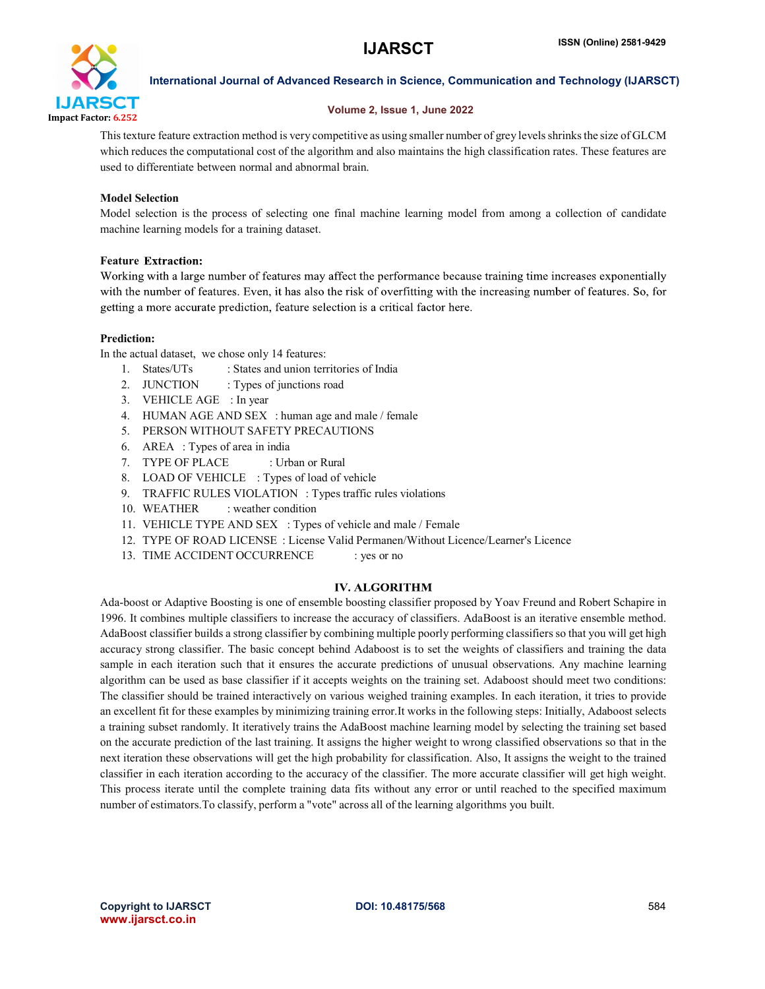

# Volume 2, Issue 1, June 2022

This texture feature extraction method is very competitive as using smaller number of grey levels shrinks the size of GLCM which reduces the computational cost of the algorithm and also maintains the high classification rates. These features are used to differentiate between normal and abnormal brain.

# Model Selection

Model selection is the process of selecting one final machine learning model from among a collection of candidate machine learning models for a training dataset.

# **Feature Extraction:**

Working with a large number of features may affect the performance because training time increases exponentially with the number of features. Even, it has also the risk of overfitting with the increasing number of features. So, for getting a more accurate prediction, feature selection is a critical factor here.

# Prediction:

In the actual dataset, we chose only 14 features:

- 1. States/UTs : States and union territories of India
- 2. JUNCTION : Types of junctions road
- 3. VEHICLE AGE : In year
- 4. HUMAN AGE AND SEX : human age and male / female
- 5. PERSON WITHOUT SAFETY PRECAUTIONS
- 6. AREA : Types of area in india
- 7. TYPE OF PLACE : Urban or Rural
- 8. LOAD OF VEHICLE : Types of load of vehicle
- 9. TRAFFIC RULES VIOLATION : Types traffic rules violations
- 10. WEATHER : weather condition
- 11. VEHICLE TYPE AND SEX : Types of vehicle and male / Female
- 12. TYPE OF ROAD LICENSE : License Valid Permanen/Without Licence/Learner's Licence
- 13. TIME ACCIDENT OCCURRENCE : yes or no

#### **IV. ALGORITHM**

Ada-boost or Adaptive Boosting is one of ensemble boosting classifier proposed by Yoav Freund and Robert Schapire in 1996. It combines multiple classifiers to increase the accuracy of classifiers. AdaBoost is an iterative ensemble method. AdaBoost classifier builds a strong classifier by combining multiple poorly performing classifiers so that you will get high accuracy strong classifier. The basic concept behind Adaboost is to set the weights of classifiers and training the data sample in each iteration such that it ensures the accurate predictions of unusual observations. Any machine learning algorithm can be used as base classifier if it accepts weights on the training set. Adaboost should meet two conditions: The classifier should be trained interactively on various weighed training examples. In each iteration, it tries to provide an excellent fit for these examples by minimizing training error.It works in the following steps: Initially, Adaboost selects a training subset randomly. It iteratively trains the AdaBoost machine learning model by selecting the training set based on the accurate prediction of the last training. It assigns the higher weight to wrong classified observations so that in the next iteration these observations will get the high probability for classification. Also, It assigns the weight to the trained classifier in each iteration according to the accuracy of the classifier. The more accurate classifier will get high weight. This process iterate until the complete training data fits without any error or until reached to the specified maximum number of estimators.To classify, perform a "vote" across all of the learning algorithms you built.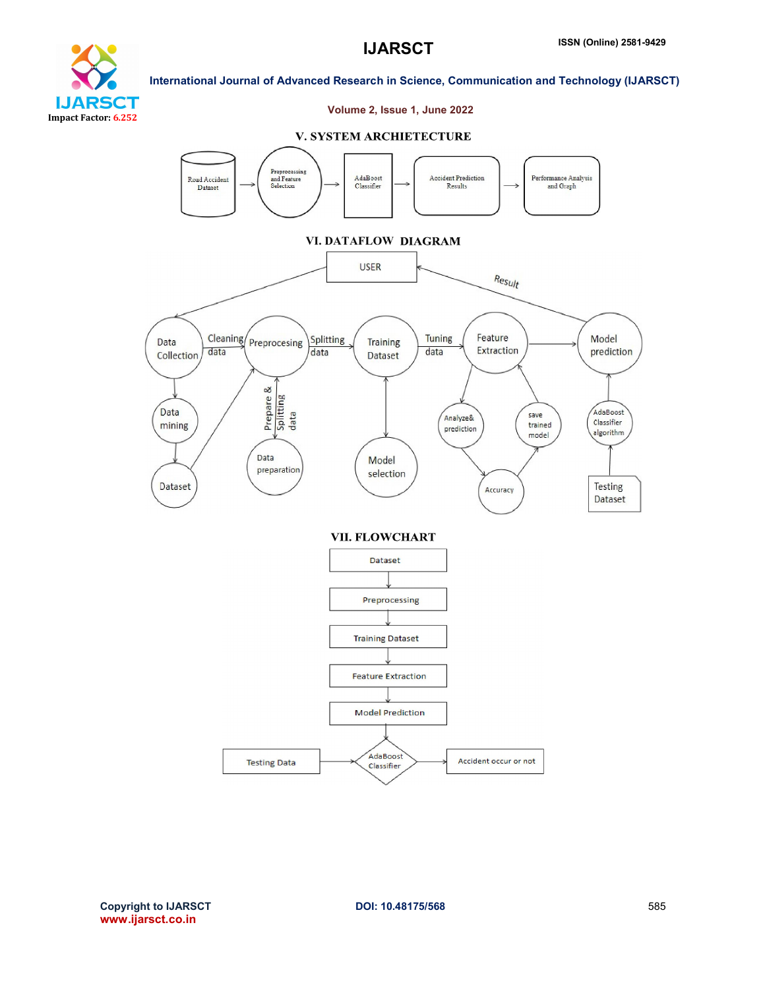



# Volume 2, Issue 1, June 2022

#### **V. SYSTEM ARCHIETECTURE**

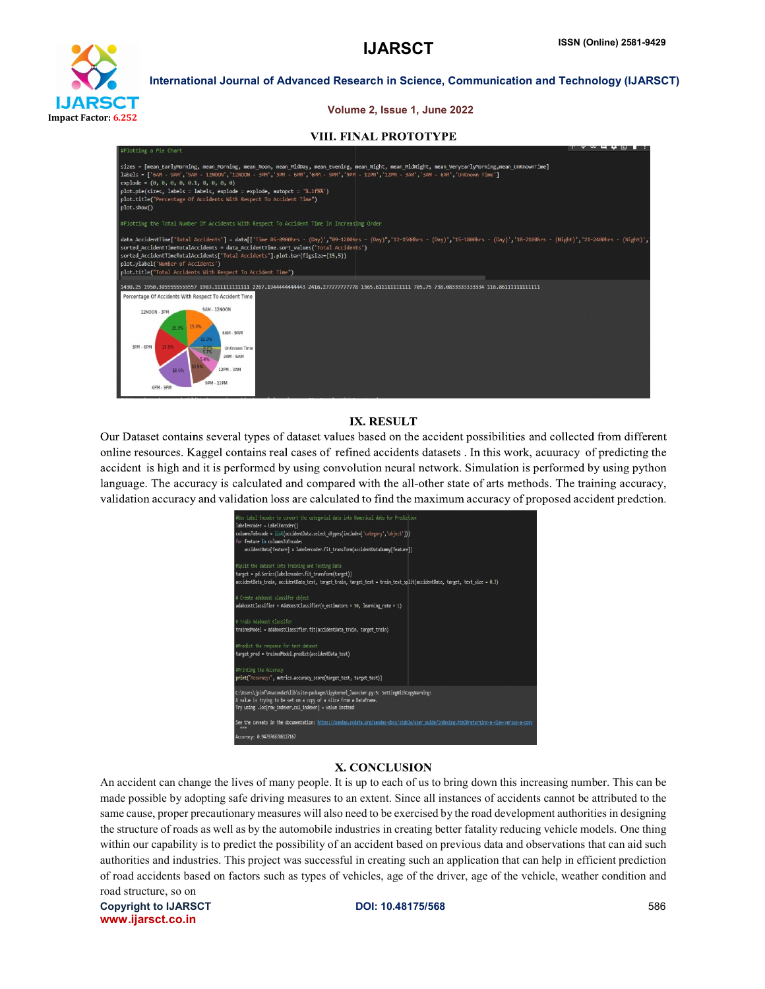

#### Volume 2, Issue 1, June 2022

#### **VIII. FINAL PROTOTYPE**



#### **IX. RESULT**

Our Dataset contains several types of dataset values based on the accident possibilities and collected from different online resources. Kaggel contains real cases of refined accidents datasets . In this work, acuuracy of predicting the accident is high and it is performed by using convolution neural network. Simulation is performed by using python language. The accuracy is calculated and compared with the all-other state of arts methods. The training accuracy, validation accuracy and validation loss are calculated to find the maximum accuracy of proposed accident predction.

| #Use Label Encoder to convert the categorial data into Numerical data for Prediction<br>labelencoder = LabelEncoder()<br>columnsToEncode = list(accidentData.select dtypes(include=['category','object'])))<br>for feature in columnsToFncode:<br>accidentData[feature] = labelencoder.fit transform(accidentDataDummy[feature]) |
|----------------------------------------------------------------------------------------------------------------------------------------------------------------------------------------------------------------------------------------------------------------------------------------------------------------------------------|
| #Split the dataset into Training and Testing Data<br>target = pd.Series(labelencoder.fit transform(target))<br>accidentData train, accidentData test, target train, target test = train test split(accidentData, target, test size = 0.3)                                                                                        |
| # Create adaboost classifer object<br>$adaboostClassifier = AdaBoostClassifier(n estimators = 50, learning rate = 1)$                                                                                                                                                                                                            |
| # Train Adaboost Classifer<br>trainedModel = adaboostClassifier.fit(accidentData train, target train)                                                                                                                                                                                                                            |
| #Predict the response for test dataset<br>target pred = trainedModel.predict(accidentData test)                                                                                                                                                                                                                                  |
| #Printing the Accuracy<br>print("Accuracy:", metrics.accuracy score(target test, target test))                                                                                                                                                                                                                                   |
| C:\Users\jpinf\Anaconda3\lib\site-packages\ipykernel launcher.py:5: SettingWithCopyWarning:<br>A value is trying to be set on a copy of a slice from a DataFrame.<br>Try using .loc[row indexer,col indexer] = value instead                                                                                                     |
| See the caveats in the documentation: https://pandas.pydata.org/pandas-docs/stable/user_guide/indexing.html#returning-a-view-versus-a-copy<br><b>BRB</b>                                                                                                                                                                         |
| Accuracy: 0.9479768786127167                                                                                                                                                                                                                                                                                                     |

#### X. CONCLUSION

An accident can change the lives of many people. It is up to each of us to bring down this increasing number. This can be made possible by adopting safe driving measures to an extent. Since all instances of accidents cannot be attributed to the same cause, proper precautionary measures will also need to be exercised by the road development authorities in designing the structure of roads as well as by the automobile industries in creating better fatality reducing vehicle models. One thing within our capability is to predict the possibility of an accident based on previous data and observations that can aid such authorities and industries. This project was successful in creating such an application that can help in efficient prediction of road accidents based on factors such as types of vehicles, age of the driver, age of the vehicle, weather condition and road structure, so on

Copyright to IJARSCT **DOI: 10.48175/568** 586 www.ijarsct.co.in